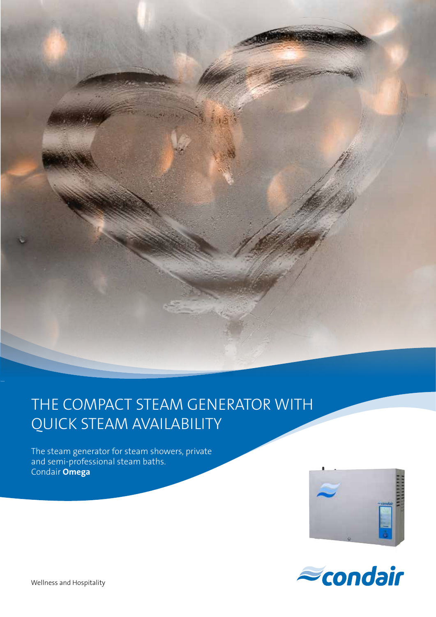

# THE COMPACT STEAM GENERATOR WITH QUICK STEAM AVAILABILITY

The steam generator for steam showers, private and semi-professional steam baths. Condair **Omega** 





Wellness and Hospitality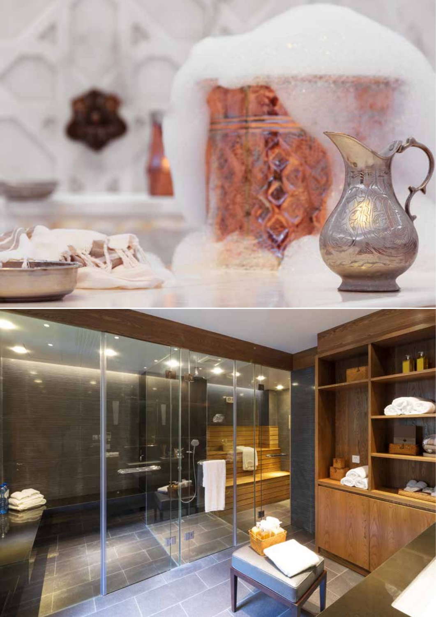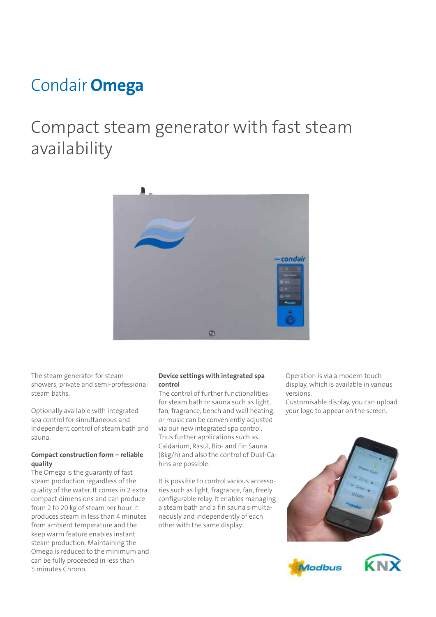# Condair **Omega**

# Compact steam generator with fast steam availability



The steam generator for steam showers, private and semi-professional steam baths.

Optionally available with integrated spa control for simultaneous and independent control of steam bath and sauna.

# **Compact construction form – reliable quality**

The Omega is the guaranty of fast steam production regardless of the quality of the water. It comes in 2 extra compact dimensions and can produce from 2 to 20 kg of steam per hour. It produces steam in less than 4 minutes from ambient temperature and the keep warm feature enables instant steam production. Maintaining the Omega is reduced to the minimum and can be fully proceeded in less than 5 minutes Chrono.

# **Device settings with integrated spa control**

The control of further functionalities for steam bath or sauna such as light, fan, fragrance, bench and wall heating, or music can be conveniently adjusted via our new integrated spa control. Thus further applications such as Caldarium, Rasul, Bio- and Fin Sauna (8kg/h) and also the control of Dual-Cabins are possible.

It is possible to control various accessories such as light, fragrance, fan, freely configurable relay. It enables managing a steam bath and a fin sauna simultaneously and independently of each other with the same display.

Operation is via a modern touch display, which is available in various versions.

Customisable display, you can upload your logo to appear on the screen.





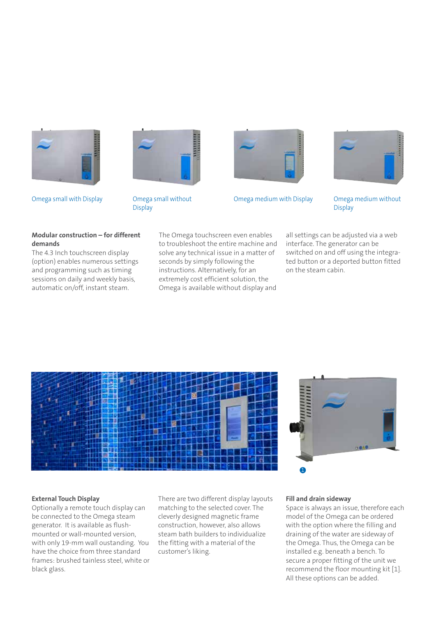



Omega small without **Display** 



Omega small with Display Omega medium with Display Omega medium without



**Display** 

#### **Modular construction – for different demands**

The 4.3 Inch touchscreen display (option) enables numerous settings and programming such as timing sessions on daily and weekly basis, automatic on/off, instant steam.

The Omega touchscreen even enables to troubleshoot the entire machine and solve any technical issue in a matter of seconds by simply following the instructions. Alternatively, for an extremely cost efficient solution, the Omega is available without display and

all settings can be adjusted via a web interface. The generator can be switched on and off using the integrated button or a deported button fitted on the steam cabin.





## **External Touch Display**

Optionally a remote touch display can be connected to the Omega steam generator. It is available as flushmounted or wall-mounted version, with only 19-mm wall oustanding. You have the choice from three standard frames: brushed tainless steel, white or black glass.

There are two different display layouts matching to the selected cover. The cleverly designed magnetic frame construction, however, also allows steam bath builders to individualize the fitting with a material of the customer's liking.

#### **Fill and drain sideway**

Space is always an issue, therefore each model of the Omega can be ordered with the option where the filling and draining of the water are sideway of the Omega. Thus, the Omega can be installed e.g. beneath a bench. To secure a proper fitting of the unit we recommend the floor mounting kit [1]. All these options can be added.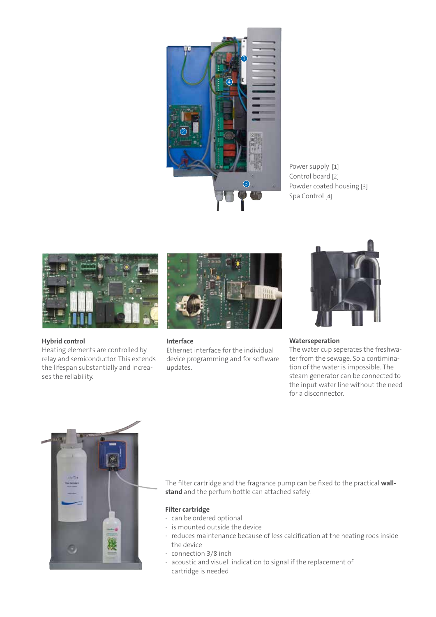

Power supply [1] Control board [2] Powder coated housing [3] Spa Control [4]



### **Hybrid control**

Heating elements are controlled by relay and semiconductor. This extends the lifespan substantially and increases the reliability.



#### **Interface**

Ethernet interface for the individual device programming and for software updates.



#### **Waterseperation**

The water cup seperates the freshwater from the sewage. So a contimination of the water is impossible. The steam generator can be connected to the input water line without the need for a disconnector.



The filter cartridge and the fragrance pump can be fixed to the practical **wallstand** and the perfum bottle can attached safely.

### **Filter cartridge**

- can be ordered optional
- is mounted outside the device
- reduces maintenance because of less calcification at the heating rods inside the device
- connection 3/8 inch
- acoustic and visuell indication to signal if the replacement of cartridge is needed